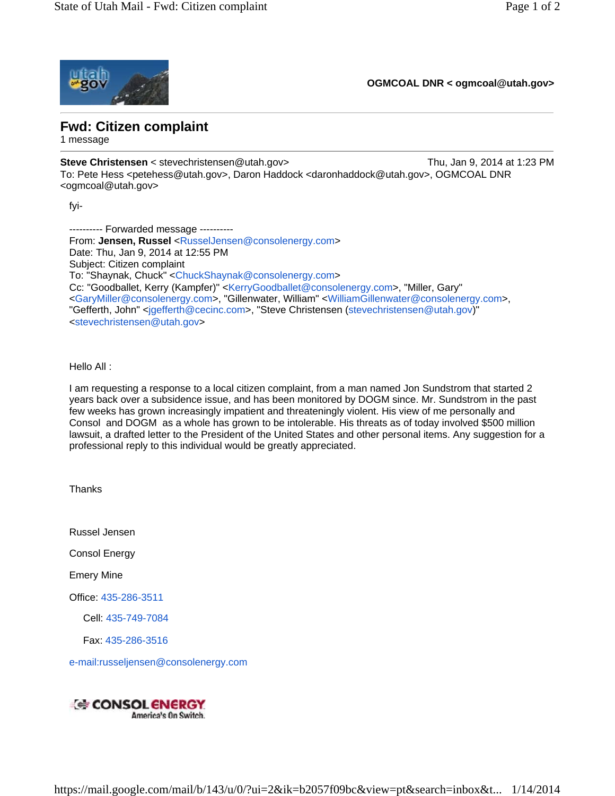

**OGMCOAL DNR < ogmcoal@utah.gov>** 

## **Fwd: Citizen complaint**

1 message

**Steve Christensen** < stevechristensen@utah.gov> Thu, Jan 9, 2014 at 1:23 PM To: Pete Hess <petehess@utah.gov>, Daron Haddock <daronhaddock@utah.gov>, OGMCOAL DNR <ogmcoal@utah.gov>

fyi-

---------- Forwarded message ---------- From: **Jensen, Russel** <RusselJensen@consolenergy.com> Date: Thu, Jan 9, 2014 at 12:55 PM Subject: Citizen complaint To: "Shaynak, Chuck" <ChuckShaynak@consolenergy.com> Cc: "Goodballet, Kerry (Kampfer)" <KerryGoodballet@consolenergy.com>, "Miller, Gary" <GaryMiller@consolenergy.com>, "Gillenwater, William" <WilliamGillenwater@consolenergy.com>, "Gefferth, John" <jgefferth@cecinc.com>, "Steve Christensen (stevechristensen@utah.gov)" <stevechristensen@utah.gov>

Hello All :

I am requesting a response to a local citizen complaint, from a man named Jon Sundstrom that started 2 years back over a subsidence issue, and has been monitored by DOGM since. Mr. Sundstrom in the past few weeks has grown increasingly impatient and threateningly violent. His view of me personally and Consol and DOGM as a whole has grown to be intolerable. His threats as of today involved \$500 million lawsuit, a drafted letter to the President of the United States and other personal items. Any suggestion for a professional reply to this individual would be greatly appreciated.

**Thanks** 

Russel Jensen

Consol Energy

Emery Mine

Office: 435-286-3511

Cell: 435-749-7084

Fax: 435-286-3516

e-mail:russeljensen@consolenergy.com